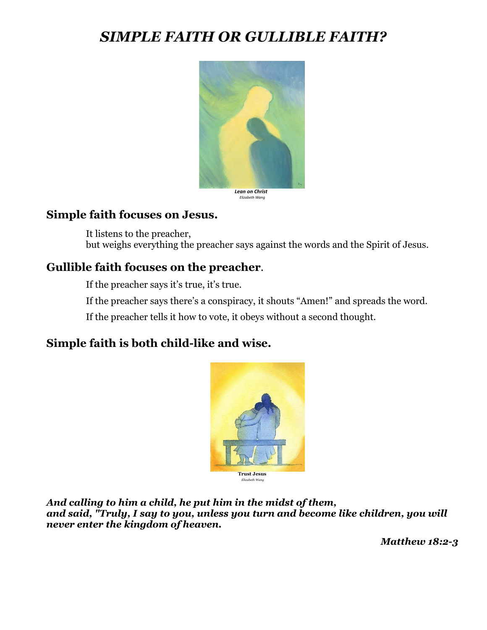# *SIMPLE FAITH OR GULLIBLE FAITH?*



*Elizabeth Wang*

#### **Simple faith focuses on Jesus.**

It listens to the preacher, but weighs everything the preacher says against the words and the Spirit of Jesus.

## **Gullible faith focuses on the preacher**.

If the preacher says it's true, it's true.

If the preacher says there's a conspiracy, it shouts "Amen!" and spreads the word.

If the preacher tells it how to vote, it obeys without a second thought.

## **Simple faith is both child-like and wise.**



*And calling to him a child, he put him in the midst of them, and said, "Truly, I say to you, unless you turn and become like children, you will never enter the kingdom of heaven.*

*Matthew 18:2-3*